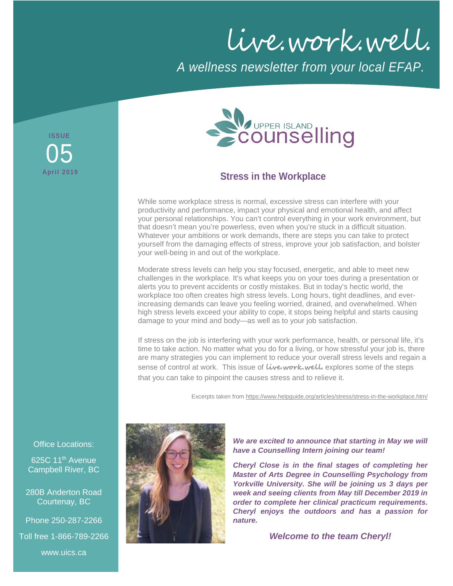live.work.well.

*A wellness newsletter from your local EFAP.*

**ISSUE April 2019** 05



## **Stress in the Workplace**

While some workplace stress is normal, excessive stress can interfere with your productivity and performance, impact your physical and emotional health, and affect your personal relationships. You can't control everything in your work environment, but that doesn't mean you're powerless, even when you're stuck in a difficult situation. Whatever your ambitions or work demands, there are steps you can take to protect yourself from the damaging effects of stress, improve your job satisfaction, and bolster your well-being in and out of the workplace.

Moderate stress levels can help you stay focused, energetic, and able to meet new challenges in the workplace. It's what keeps you on your toes during a presentation or alerts you to prevent accidents or costly mistakes. But in today's hectic world, the workplace too often creates high stress levels. Long hours, tight deadlines, and everincreasing demands can leave you feeling worried, drained, and overwhelmed. When high stress levels exceed your ability to cope, it stops being helpful and starts causing damage to your mind and body—as well as to your job satisfaction.

If stress on the job is interfering with your work performance, health, or personal life, it's time to take action. No matter what you do for a living, or how stressful your job is, there are many strategies you can implement to reduce your overall stress levels and regain a sense of control at work. This issue of **live.work.well.** explores some of the steps that you can take to pinpoint the causes stress and to relieve it.

Excerpts taken fro[m https://www.helpguide.org/articles/stress/stress-in-the-workplace.htm/](https://www.helpguide.org/articles/stress/stress-in-the-workplace.htm/)



*We are excited to announce that starting in May we will have a Counselling Intern joining our team!*

*Cheryl Close is in the final stages of completing her Master of Arts Degree in Counselling Psychology from Yorkville University. She will be joining us 3 days per week and seeing clients from May till December 2019 in order to complete her clinical practicum requirements. Cheryl enjoys the outdoors and has a passion for nature.*

*Welcome to the team Cheryl!*

Office Locations:

625C 11<sup>th</sup> Avenue Campbell River, BC

280B Anderton Road Courtenay, BC

Phone 250-287-2266

Toll free 1-866-789-2266

www.uics.ca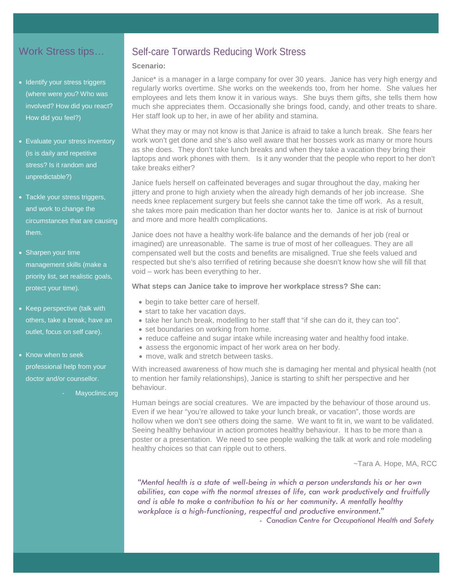### Work Stress tips…

- Identify your stress triggers (where were you? Who was involved? How did you react? How did you feel?)
- Evaluate your stress inventory (is is daily and repetitive stress? Is it random and unpredictable?)
- Tackle your stress triggers, and work to change the circumstances that are causing them.
- Sharpen your time management skills (make a priority list, set realistic goals, protect your time).
- Keep perspective (talk with others, take a break, have an outlet, focus on self care).
- Know when to seek professional help from your doctor and/or counsellor.
	- Mayoclinic.org

### Self-care Torwards Reducing Work Stress

#### **Scenario:**

Janice\* is a manager in a large company for over 30 years. Janice has very high energy and regularly works overtime. She works on the weekends too, from her home. She values her employees and lets them know it in various ways. She buys them gifts, she tells them how much she appreciates them. Occasionally she brings food, candy, and other treats to share. Her staff look up to her, in awe of her ability and stamina.

What they may or may not know is that Janice is afraid to take a lunch break. She fears her work won't get done and she's also well aware that her bosses work as many or more hours as she does. They don't take lunch breaks and when they take a vacation they bring their laptops and work phones with them. Is it any wonder that the people who report to her don't take breaks either?

Janice fuels herself on caffeinated beverages and sugar throughout the day, making her jittery and prone to high anxiety when the already high demands of her job increase. She needs knee replacement surgery but feels she cannot take the time off work. As a result, she takes more pain medication than her doctor wants her to. Janice is at risk of burnout and more and more health complications.

Janice does not have a healthy work-life balance and the demands of her job (real or imagined) are unreasonable. The same is true of most of her colleagues. They are all compensated well but the costs and benefits are misaligned. True she feels valued and respected but she's also terrified of retiring because she doesn't know how she will fill that void – work has been everything to her.

#### **What steps can Janice take to improve her workplace stress? She can:**

- begin to take better care of herself.
- start to take her vacation days.
- take her lunch break, modelling to her staff that "if she can do it, they can too".
- set boundaries on working from home.
- reduce caffeine and sugar intake while increasing water and healthy food intake.
- assess the ergonomic impact of her work area on her body.
- move, walk and stretch between tasks.

With increased awareness of how much she is damaging her mental and physical health (not to mention her family relationships), Janice is starting to shift her perspective and her behaviour.

Human beings are social creatures. We are impacted by the behaviour of those around us. Even if we hear "you're allowed to take your lunch break, or vacation", those words are hollow when we don't see others doing the same. We want to fit in, we want to be validated. Seeing healthy behaviour in action promotes healthy behaviour. It has to be more than a poster or a presentation. We need to see people walking the talk at work and role modeling healthy choices so that can ripple out to others.

~Tara A. Hope, MA, RCC

*"Mental health is a state of well-being in which a person understands his or her own abilities, can cope with the normal stresses of life, can work productively and fruitfully and is able to make a contribution to his or her community. A mentally healthy workplace is a high-functioning, respectful and productive environment." - Canadian Centre for Occupational Health and Safety*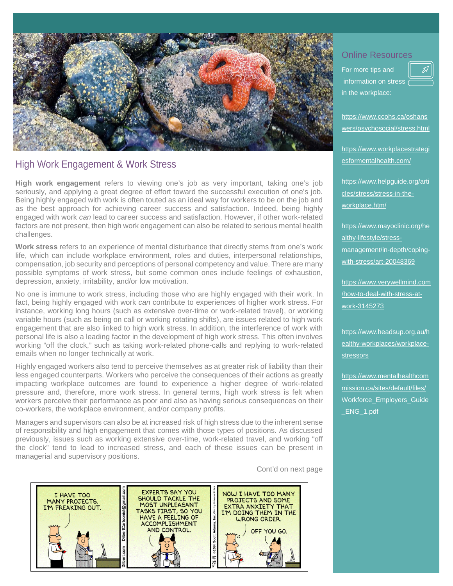

## High Work Engagement & Work Stress

**High work engagement** refers to viewing one's job as very important, taking one's job seriously, and applying a great degree of effort toward the successful execution of one's job. Being highly engaged with work is often touted as an ideal way for workers to be on the job and as the best approach for achieving career success and satisfaction. Indeed, being highly engaged with work *can* lead to career success and satisfaction. However, if other work-related factors are not present, then high work engagement can also be related to serious mental health challenges.

**Work stress** refers to an experience of mental disturbance that directly stems from one's work life, which can include workplace environment, roles and duties, interpersonal relationships, compensation, job security and perceptions of personal competency and value. There are many possible symptoms of work stress, but some common ones include feelings of exhaustion, depression, anxiety, irritability, and/or low motivation.

No one is immune to work stress, including those who are highly engaged with their work. In fact, being highly engaged with work *can* contribute to experiences of higher work stress. For instance, working long hours (such as extensive over-time or work-related travel), or working variable hours (such as being on call or working rotating shifts), are issues related to high work engagement that are also linked to high work stress. In addition, the interference of work with personal life is also a leading factor in the development of high work stress. This often involves working "off the clock," such as taking work-related phone-calls and replying to work-related emails when no longer technically at work.

Highly engaged workers also tend to perceive themselves as at greater risk of liability than their less engaged counterparts. Workers who perceive the consequences of their actions as greatly impacting workplace outcomes are found to experience a higher degree of work-related pressure and, therefore, more work stress. In general terms, high work stress is felt when workers perceive their performance as poor and also as having serious consequences on their co-workers, the workplace environment, and/or company profits.

Managers and supervisors can also be at increased risk of high stress due to the inherent sense of responsibility and high engagement that comes with those types of positions. As discussed previously, issues such as working extensive over-time, work-related travel, and working "off the clock" tend to lead to increased stress, and each of these issues can be present in managerial and supervisory positions.

Cont'd on next page



### Online Resources

For more tips and information on stress in the workplace:

[https://www.ccohs.ca/oshans](https://www.ccohs.ca/oshanswers/psychosocial/stress.html) [wers/psychosocial/stress.html](https://www.ccohs.ca/oshanswers/psychosocial/stress.html)

https://www.workplacestrategi esformentalhealth.com/

[https://www.helpguide.org/arti](https://www.helpguide.org/articles/stress/stress-in-the-workplace.htm/) [cles/stress/stress-in-the](https://www.helpguide.org/articles/stress/stress-in-the-workplace.htm/)[workplace.htm/](https://www.helpguide.org/articles/stress/stress-in-the-workplace.htm/)

https://www.mayoclinic.org/he althy-lifestyle/stressmanagement/in-depth/copingwith-stress/art-20048369

https://www.verywellmind.com /how-to-deal-with-stress-atwork-3145273

[https://www.headsup.org.au/h](https://www.headsup.org.au/healthy-workplaces/workplace-stressors) [ealthy-workplaces/workplace](https://www.headsup.org.au/healthy-workplaces/workplace-stressors)[stressors](https://www.headsup.org.au/healthy-workplaces/workplace-stressors)

https://www.mentalhealthcom mission.ca/sites/default/files/ Workforce\_Employers\_Guide \_ENG\_1.pdf